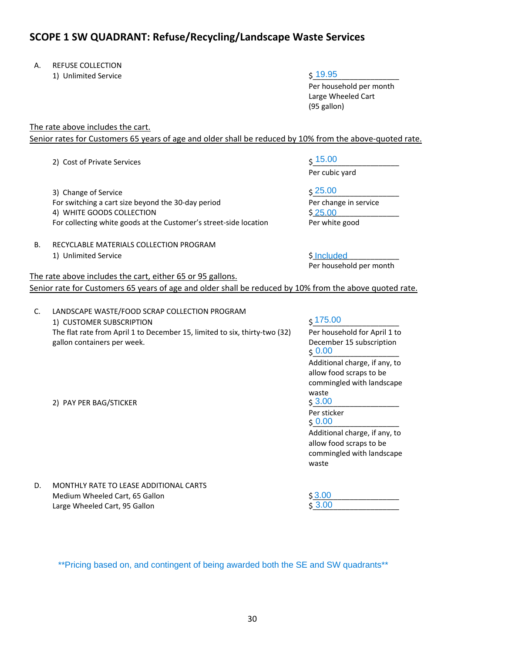## **SCOPE 1 SW QUADRANT: Refuse/Recycling/Landscape Waste Services**

- A. REFUSE COLLECTION
	- 1) Unlimited Service

19.95

Per household per month Large Wheeled Cart (95 gallon)

The rate above includes the cart.

Senior rates for Customers 65 years of age and older shall be reduced by 10% from the above-quoted rate.

2) Cost of Private Services

3) Change of Service For switching a cart size beyond the 30‐day period 4) WHITE GOODS COLLECTION For collecting white goods at the Customer's street‐side location

- B. RECYCLABLE MATERIALS COLLECTION PROGRAM
	- 1) Unlimited Service

The rate above includes the cart, either 65 or 95 gallons.

 $\zeta$  15.00

Per cubic yard

\$\_\_\_\_\_\_\_\_\_\_\_\_\_\_\_\_\_\_\_\_\_ 25.00 Per change in service \$<u>\_25.00</u>

Per white good

Per household per month \$ Included

Senior rate for Customers 65 years of age and older shall be reduced by 10% from the above quoted rate.

C. LANDSCAPE WASTE/FOOD SCRAP COLLECTION PROGRAM 1) CUSTOMER SUBSCRIPTION The flat rate from April 1 to December 15, limited to six, thirty‐two (32) gallon containers per week. \$\_\_\_\_\_\_\_\_\_\_\_\_\_\_\_\_\_\_\_\_\_ 175.00 Per household for April 1 to December 15 subscription \$\_\_\_\_\_\_\_\_\_\_\_\_\_\_\_\_\_\_\_\_\_ 0.00 Additional charge, if any, to allow food scraps to be commingled with landscape waste 2) PAY PER BAG/STICKER Per sticker  $\frac{6}{5}$   $\frac{0.00}{0.00}$ Additional charge, if any, to allow food scraps to be commingled with landscape waste D. MONTHLY RATE TO LEASE ADDITIONAL CARTS Medium Wheeled Cart, 65 Gallon 3.00 3.00

Large Wheeled Cart, 95 Gallon

 $$3.00$ 

\*\*Pricing based on, and contingent of being awarded both the SE and SW quadrants\*\*